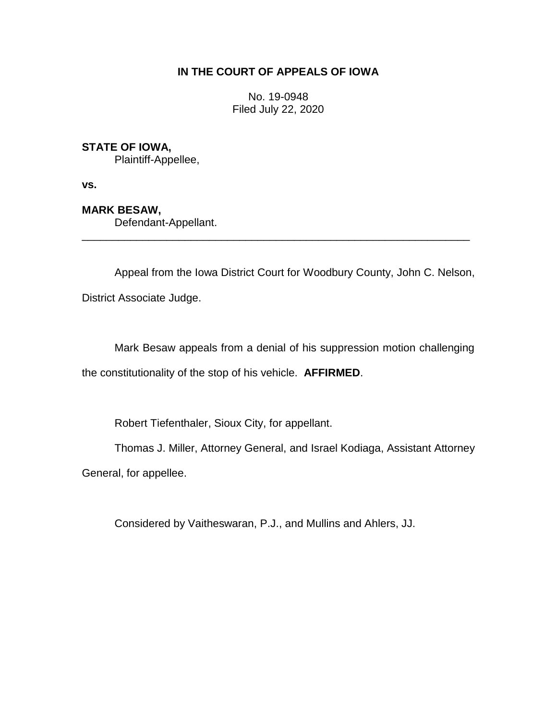# **IN THE COURT OF APPEALS OF IOWA**

No. 19-0948 Filed July 22, 2020

## **STATE OF IOWA,**

Plaintiff-Appellee,

**vs.**

### **MARK BESAW,**

Defendant-Appellant.

Appeal from the Iowa District Court for Woodbury County, John C. Nelson, District Associate Judge.

\_\_\_\_\_\_\_\_\_\_\_\_\_\_\_\_\_\_\_\_\_\_\_\_\_\_\_\_\_\_\_\_\_\_\_\_\_\_\_\_\_\_\_\_\_\_\_\_\_\_\_\_\_\_\_\_\_\_\_\_\_\_\_\_

Mark Besaw appeals from a denial of his suppression motion challenging the constitutionality of the stop of his vehicle. **AFFIRMED**.

Robert Tiefenthaler, Sioux City, for appellant.

Thomas J. Miller, Attorney General, and Israel Kodiaga, Assistant Attorney General, for appellee.

Considered by Vaitheswaran, P.J., and Mullins and Ahlers, JJ.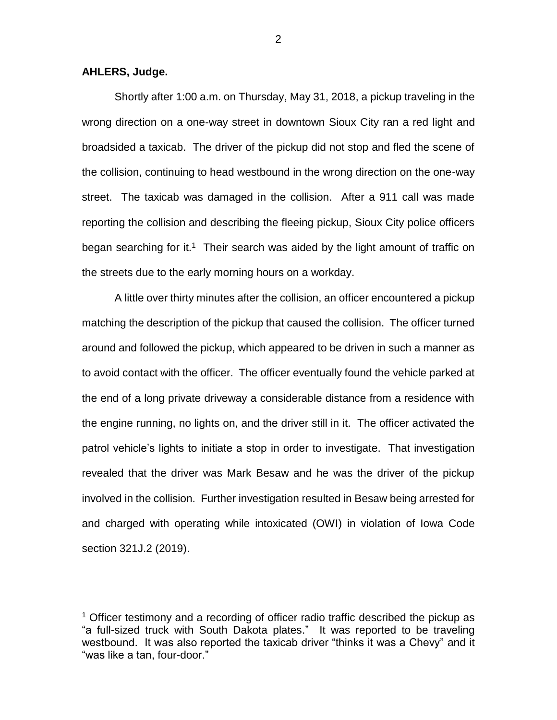#### **AHLERS, Judge.**

 $\overline{a}$ 

Shortly after 1:00 a.m. on Thursday, May 31, 2018, a pickup traveling in the wrong direction on a one-way street in downtown Sioux City ran a red light and broadsided a taxicab. The driver of the pickup did not stop and fled the scene of the collision, continuing to head westbound in the wrong direction on the one-way street. The taxicab was damaged in the collision. After a 911 call was made reporting the collision and describing the fleeing pickup, Sioux City police officers began searching for it.<sup>1</sup> Their search was aided by the light amount of traffic on the streets due to the early morning hours on a workday.

A little over thirty minutes after the collision, an officer encountered a pickup matching the description of the pickup that caused the collision. The officer turned around and followed the pickup, which appeared to be driven in such a manner as to avoid contact with the officer. The officer eventually found the vehicle parked at the end of a long private driveway a considerable distance from a residence with the engine running, no lights on, and the driver still in it. The officer activated the patrol vehicle's lights to initiate a stop in order to investigate. That investigation revealed that the driver was Mark Besaw and he was the driver of the pickup involved in the collision. Further investigation resulted in Besaw being arrested for and charged with operating while intoxicated (OWI) in violation of Iowa Code section 321J.2 (2019).

<sup>&</sup>lt;sup>1</sup> Officer testimony and a recording of officer radio traffic described the pickup as "a full-sized truck with South Dakota plates." It was reported to be traveling westbound. It was also reported the taxicab driver "thinks it was a Chevy" and it "was like a tan, four-door."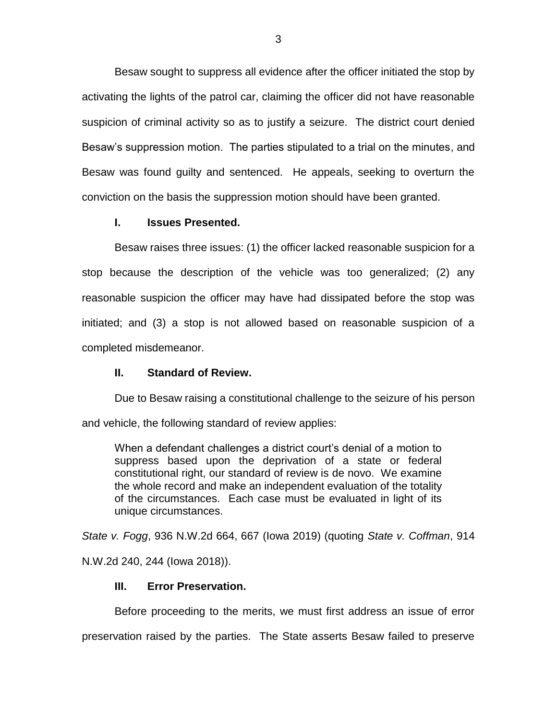Besaw sought to suppress all evidence after the officer initiated the stop by activating the lights of the patrol car, claiming the officer did not have reasonable suspicion of criminal activity so as to justify a seizure. The district court denied Besaw's suppression motion. The parties stipulated to a trial on the minutes, and Besaw was found guilty and sentenced. He appeals, seeking to overturn the conviction on the basis the suppression motion should have been granted.

### **I. Issues Presented.**

Besaw raises three issues: (1) the officer lacked reasonable suspicion for a stop because the description of the vehicle was too generalized; (2) any reasonable suspicion the officer may have had dissipated before the stop was initiated; and (3) a stop is not allowed based on reasonable suspicion of a completed misdemeanor.

#### **II. Standard of Review.**

Due to Besaw raising a constitutional challenge to the seizure of his person

and vehicle, the following standard of review applies:

When a defendant challenges a district court's denial of a motion to suppress based upon the deprivation of a state or federal constitutional right, our standard of review is de novo. We examine the whole record and make an independent evaluation of the totality of the circumstances. Each case must be evaluated in light of its unique circumstances.

*State v. Fogg*, 936 N.W.2d 664, 667 (Iowa 2019) (quoting *State v. Coffman*, 914 N.W.2d 240, 244 (Iowa 2018)).

#### **III. Error Preservation.**

Before proceeding to the merits, we must first address an issue of error

preservation raised by the parties. The State asserts Besaw failed to preserve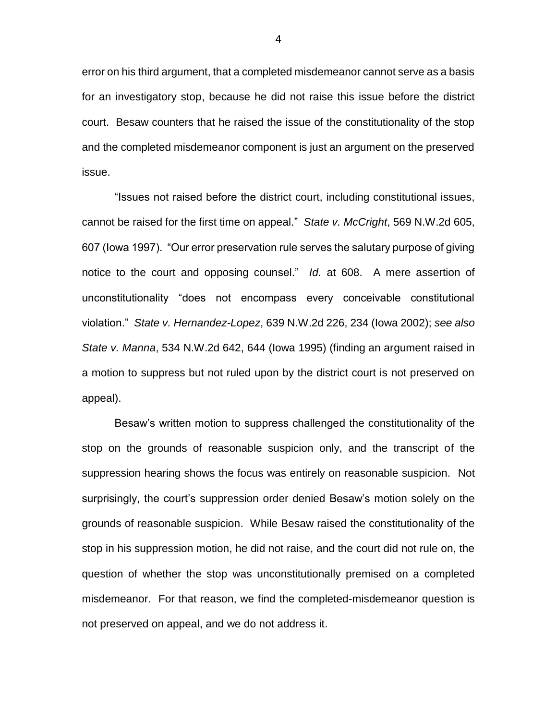error on his third argument, that a completed misdemeanor cannot serve as a basis for an investigatory stop, because he did not raise this issue before the district court. Besaw counters that he raised the issue of the constitutionality of the stop and the completed misdemeanor component is just an argument on the preserved issue.

"Issues not raised before the district court, including constitutional issues, cannot be raised for the first time on appeal." *State v. McCright*, 569 N.W.2d 605, 607 (Iowa 1997). "Our error preservation rule serves the salutary purpose of giving notice to the court and opposing counsel." *Id.* at 608. A mere assertion of unconstitutionality "does not encompass every conceivable constitutional violation." *State v. Hernandez-Lopez*, 639 N.W.2d 226, 234 (Iowa 2002); *see also State v. Manna*, 534 N.W.2d 642, 644 (Iowa 1995) (finding an argument raised in a motion to suppress but not ruled upon by the district court is not preserved on appeal).

Besaw's written motion to suppress challenged the constitutionality of the stop on the grounds of reasonable suspicion only, and the transcript of the suppression hearing shows the focus was entirely on reasonable suspicion. Not surprisingly, the court's suppression order denied Besaw's motion solely on the grounds of reasonable suspicion. While Besaw raised the constitutionality of the stop in his suppression motion, he did not raise, and the court did not rule on, the question of whether the stop was unconstitutionally premised on a completed misdemeanor. For that reason, we find the completed-misdemeanor question is not preserved on appeal, and we do not address it.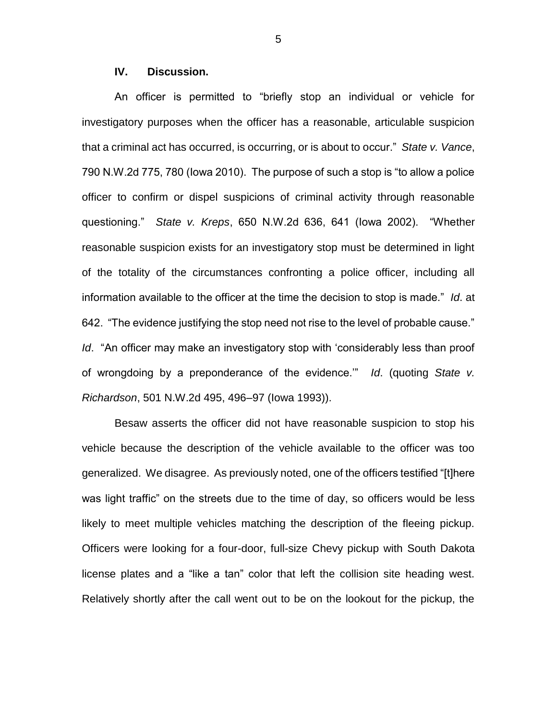#### **IV. Discussion.**

An officer is permitted to "briefly stop an individual or vehicle for investigatory purposes when the officer has a reasonable, articulable suspicion that a criminal act has occurred, is occurring, or is about to occur." *State v. Vance*, 790 N.W.2d 775, 780 (Iowa 2010). The purpose of such a stop is "to allow a police officer to confirm or dispel suspicions of criminal activity through reasonable questioning." *State v. Kreps*, 650 N.W.2d 636, 641 (Iowa 2002). "Whether reasonable suspicion exists for an investigatory stop must be determined in light of the totality of the circumstances confronting a police officer, including all information available to the officer at the time the decision to stop is made." *Id*. at 642. "The evidence justifying the stop need not rise to the level of probable cause." *Id*. "An officer may make an investigatory stop with 'considerably less than proof of wrongdoing by a preponderance of the evidence.'" *Id*. (quoting *State v. Richardson*, 501 N.W.2d 495, 496–97 (Iowa 1993)).

Besaw asserts the officer did not have reasonable suspicion to stop his vehicle because the description of the vehicle available to the officer was too generalized. We disagree. As previously noted, one of the officers testified "[t]here was light traffic" on the streets due to the time of day, so officers would be less likely to meet multiple vehicles matching the description of the fleeing pickup. Officers were looking for a four-door, full-size Chevy pickup with South Dakota license plates and a "like a tan" color that left the collision site heading west. Relatively shortly after the call went out to be on the lookout for the pickup, the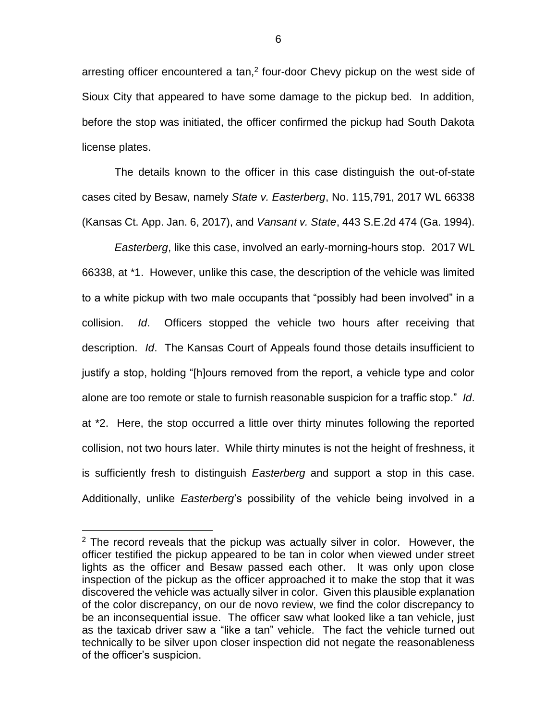arresting officer encountered a tan,<sup>2</sup> four-door Chevy pickup on the west side of Sioux City that appeared to have some damage to the pickup bed. In addition, before the stop was initiated, the officer confirmed the pickup had South Dakota license plates.

The details known to the officer in this case distinguish the out-of-state cases cited by Besaw, namely *State v. Easterberg*, No. 115,791, 2017 WL 66338 (Kansas Ct. App. Jan. 6, 2017), and *Vansant v. State*, 443 S.E.2d 474 (Ga. 1994).

*Easterberg*, like this case, involved an early-morning-hours stop. 2017 WL 66338, at \*1. However, unlike this case, the description of the vehicle was limited to a white pickup with two male occupants that "possibly had been involved" in a collision. *Id*. Officers stopped the vehicle two hours after receiving that description. *Id*. The Kansas Court of Appeals found those details insufficient to justify a stop, holding "[h]ours removed from the report, a vehicle type and color alone are too remote or stale to furnish reasonable suspicion for a traffic stop." *Id*. at \*2. Here, the stop occurred a little over thirty minutes following the reported collision, not two hours later. While thirty minutes is not the height of freshness, it is sufficiently fresh to distinguish *Easterberg* and support a stop in this case. Additionally, unlike *Easterberg*'s possibility of the vehicle being involved in a

 $\overline{a}$ 

 $2$  The record reveals that the pickup was actually silver in color. However, the officer testified the pickup appeared to be tan in color when viewed under street lights as the officer and Besaw passed each other. It was only upon close inspection of the pickup as the officer approached it to make the stop that it was discovered the vehicle was actually silver in color. Given this plausible explanation of the color discrepancy, on our de novo review, we find the color discrepancy to be an inconsequential issue. The officer saw what looked like a tan vehicle, just as the taxicab driver saw a "like a tan" vehicle. The fact the vehicle turned out technically to be silver upon closer inspection did not negate the reasonableness of the officer's suspicion.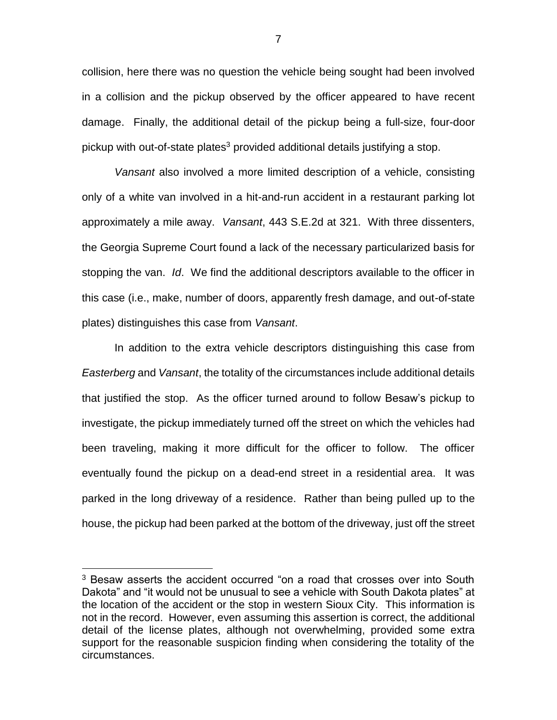collision, here there was no question the vehicle being sought had been involved in a collision and the pickup observed by the officer appeared to have recent damage. Finally, the additional detail of the pickup being a full-size, four-door pickup with out-of-state plates<sup>3</sup> provided additional details justifying a stop.

*Vansant* also involved a more limited description of a vehicle, consisting only of a white van involved in a hit-and-run accident in a restaurant parking lot approximately a mile away. *Vansant*, 443 S.E.2d at 321. With three dissenters, the Georgia Supreme Court found a lack of the necessary particularized basis for stopping the van. *Id*. We find the additional descriptors available to the officer in this case (i.e., make, number of doors, apparently fresh damage, and out-of-state plates) distinguishes this case from *Vansant*.

In addition to the extra vehicle descriptors distinguishing this case from *Easterberg* and *Vansant*, the totality of the circumstances include additional details that justified the stop. As the officer turned around to follow Besaw's pickup to investigate, the pickup immediately turned off the street on which the vehicles had been traveling, making it more difficult for the officer to follow. The officer eventually found the pickup on a dead-end street in a residential area. It was parked in the long driveway of a residence. Rather than being pulled up to the house, the pickup had been parked at the bottom of the driveway, just off the street

 $\overline{a}$ 

<sup>&</sup>lt;sup>3</sup> Besaw asserts the accident occurred "on a road that crosses over into South Dakota" and "it would not be unusual to see a vehicle with South Dakota plates" at the location of the accident or the stop in western Sioux City. This information is not in the record. However, even assuming this assertion is correct, the additional detail of the license plates, although not overwhelming, provided some extra support for the reasonable suspicion finding when considering the totality of the circumstances.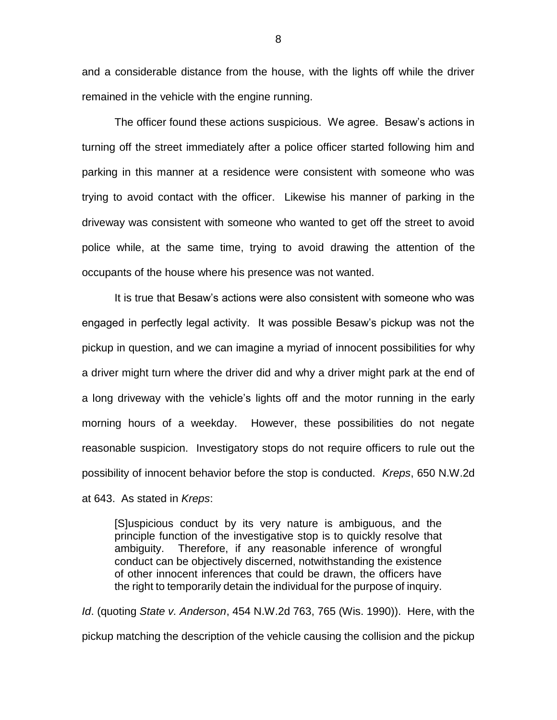and a considerable distance from the house, with the lights off while the driver remained in the vehicle with the engine running.

The officer found these actions suspicious. We agree. Besaw's actions in turning off the street immediately after a police officer started following him and parking in this manner at a residence were consistent with someone who was trying to avoid contact with the officer. Likewise his manner of parking in the driveway was consistent with someone who wanted to get off the street to avoid police while, at the same time, trying to avoid drawing the attention of the occupants of the house where his presence was not wanted.

It is true that Besaw's actions were also consistent with someone who was engaged in perfectly legal activity. It was possible Besaw's pickup was not the pickup in question, and we can imagine a myriad of innocent possibilities for why a driver might turn where the driver did and why a driver might park at the end of a long driveway with the vehicle's lights off and the motor running in the early morning hours of a weekday. However, these possibilities do not negate reasonable suspicion. Investigatory stops do not require officers to rule out the possibility of innocent behavior before the stop is conducted. *Kreps*, 650 N.W.2d at 643. As stated in *Kreps*:

[S]uspicious conduct by its very nature is ambiguous, and the principle function of the investigative stop is to quickly resolve that ambiguity. Therefore, if any reasonable inference of wrongful conduct can be objectively discerned, notwithstanding the existence of other innocent inferences that could be drawn, the officers have the right to temporarily detain the individual for the purpose of inquiry.

*Id*. (quoting *State v. Anderson*, 454 N.W.2d 763, 765 (Wis. 1990)). Here, with the pickup matching the description of the vehicle causing the collision and the pickup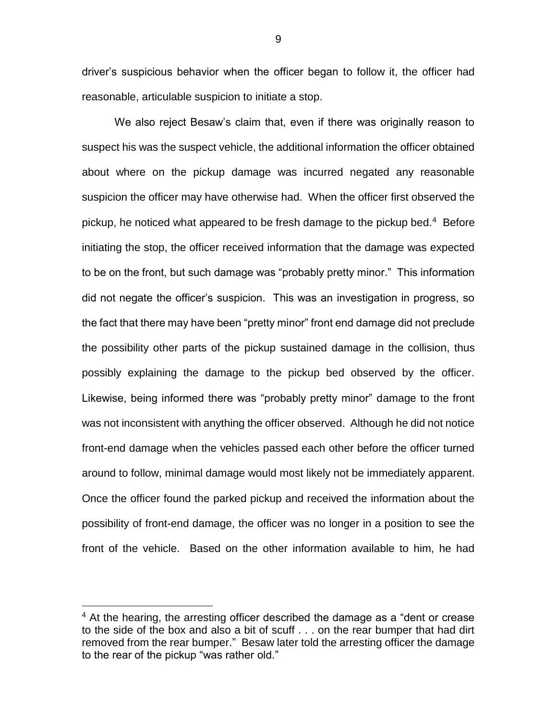driver's suspicious behavior when the officer began to follow it, the officer had reasonable, articulable suspicion to initiate a stop.

We also reject Besaw's claim that, even if there was originally reason to suspect his was the suspect vehicle, the additional information the officer obtained about where on the pickup damage was incurred negated any reasonable suspicion the officer may have otherwise had. When the officer first observed the pickup, he noticed what appeared to be fresh damage to the pickup bed.<sup>4</sup> Before initiating the stop, the officer received information that the damage was expected to be on the front, but such damage was "probably pretty minor." This information did not negate the officer's suspicion. This was an investigation in progress, so the fact that there may have been "pretty minor" front end damage did not preclude the possibility other parts of the pickup sustained damage in the collision, thus possibly explaining the damage to the pickup bed observed by the officer. Likewise, being informed there was "probably pretty minor" damage to the front was not inconsistent with anything the officer observed. Although he did not notice front-end damage when the vehicles passed each other before the officer turned around to follow, minimal damage would most likely not be immediately apparent. Once the officer found the parked pickup and received the information about the possibility of front-end damage, the officer was no longer in a position to see the front of the vehicle. Based on the other information available to him, he had

 $\overline{a}$ 

 $4$  At the hearing, the arresting officer described the damage as a "dent or crease to the side of the box and also a bit of scuff . . . on the rear bumper that had dirt removed from the rear bumper." Besaw later told the arresting officer the damage to the rear of the pickup "was rather old."